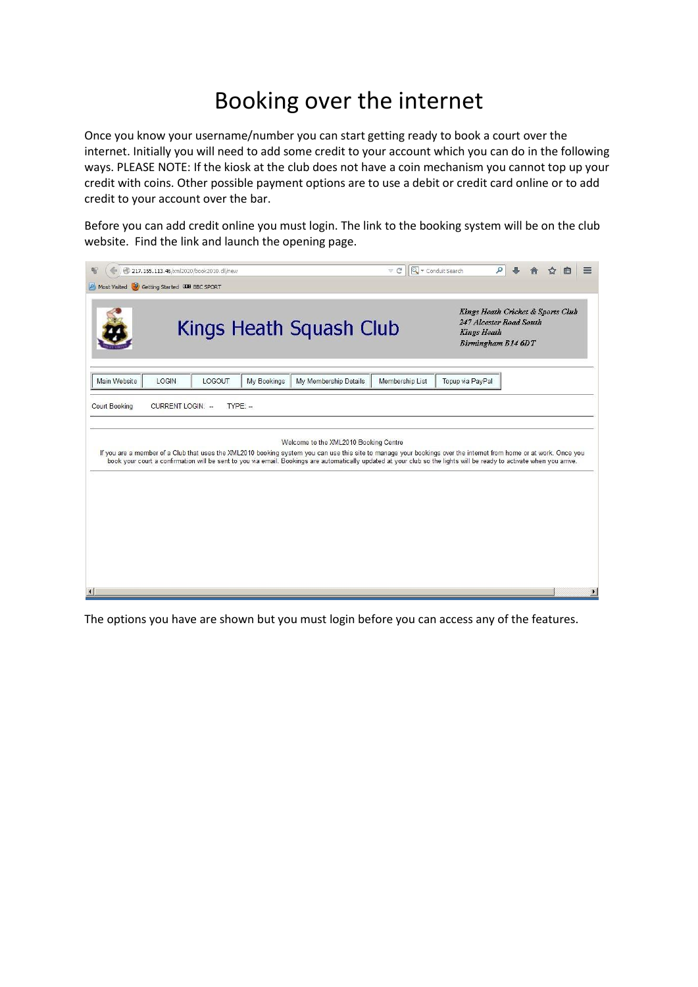## Booking over the internet

Once you know your username/number you can start getting ready to book a court over the internet. Initially you will need to add some credit to your account which you can do in the following ways. PLEASE NOTE: If the kiosk at the club does not have a coin mechanism you cannot top up your credit with coins. Other possible payment options are to use a debit or credit card online or to add credit to your account over the bar.

Before you can add credit online you must login. The link to the booking system will be on the club website. Find the link and launch the opening page.



The options you have are shown but you must login before you can access any of the features.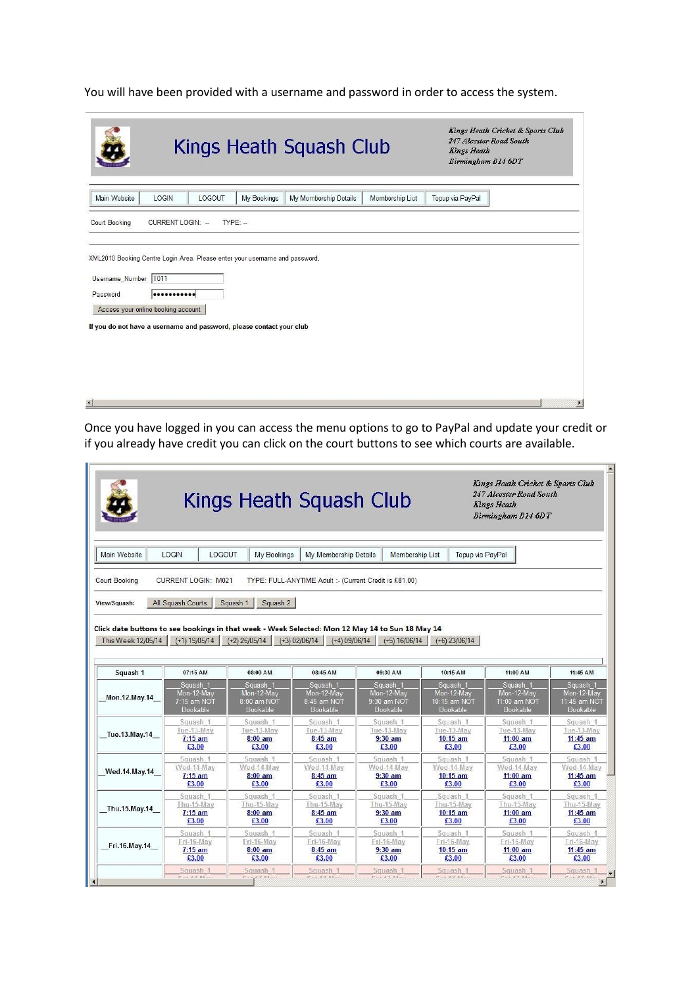You will have been provided with a username and password in order to access the system.

|                                                                          | Kings Heath Squash Club                                                                                                                                 | Kings Heath Cricket & Sports Club<br>247 Alcester Road South<br><b>Kings Heath</b><br>Birmingham B14 6DT |
|--------------------------------------------------------------------------|---------------------------------------------------------------------------------------------------------------------------------------------------------|----------------------------------------------------------------------------------------------------------|
| Main Website<br>LOGIN                                                    | <b>My Bookings</b><br>LOGOUT<br>My Membership Details<br>Membership List                                                                                | Topup via PayPal                                                                                         |
| <b>Court Booking</b>                                                     | CURRENT LOGIN: -<br>$TYPE: -$                                                                                                                           |                                                                                                          |
| Username_Number   T011<br>Password<br>Access your online booking account | XML2010 Booking Centre Login Area. Please enter your username and password.<br><br>If you do not have a username and password, please contact your club |                                                                                                          |
| $\lvert$                                                                 |                                                                                                                                                         | $\blacktriangleright$                                                                                    |

Once you have logged in you can access the menu options to go to PayPal and update your credit or if you already have credit you can click on the court buttons to see which courts are available.

 $\mathbf{r}$ 

| <b>LOGIN</b><br><b>LOGOUT</b><br>My Bookings<br>My Membership Details<br><b>Membership List</b><br>Topup via PayPal<br>Court Booking<br><b>CURRENT LOGIN: M021</b><br>TYPE: FULL-ANYTIME Adult :- (Current Credit is £81.00)<br>Squash 1<br>Squash 2<br>All Squash Courts<br>Click date buttons to see bookings in that week - Week Selected: Mon 12 May 14 to Sun 18 May 14<br><b>This Week 12/05/14</b><br>$(+1)$ 19/05/14<br>$(+2)$ 26/05/14<br>$(+3)$ 02/06/14<br>$(+4) 09/06/14$<br>$(+5) 16/06/14$<br>$(+6)$ 23/06/14<br>Squash 1<br>07:15 AM<br>08:00 AM<br>08:45 AM<br>09:30 AM<br>10:15 AM<br>11:00 AM<br>11:45 AM<br>Squash 1<br>Squash 1<br>Squash<br>Squash 1<br>Squash 1<br>Squash 1<br>Squash 1<br>Mon-12-May<br>Mon-12-May<br>Mon-12-May<br>Mon-12-May<br>Mon-12-May<br>Mon-12-May<br>Mon-12-May<br>Mon.12.May.14<br>8:00 am NOT<br>8:45 am NOT<br>9:30 am NOT<br>10:15 am NOT<br>11:00 am NOT<br>7:15 am NOT<br>Bookable<br>Bookable<br><b>Bookable</b><br><b>Bookable</b><br>Bookable<br>Bookable<br>Squash 1<br>Squash 1<br>Squash 1<br>Squash 1<br>Squash 1<br>Squash 1<br>Tue-13-May<br>Tue-13-May<br>Tue-13-May<br>Tue-13-May<br>Tue-13-May<br>Tue-13-May<br>Tue.13.May.14<br>$7:15$ am<br>$8:00$ am<br>$8:45$ am<br>$9:30$ am<br>$10:15$ am<br>$11:00$ am<br>$11:45$ am<br>£3.00<br>£3.00<br>£3.00<br>£3.00<br>£3.00<br>£3.00<br>£3.00<br>Squash 1<br>Squash 1<br>Squash 1<br>Squash 1<br>Squash 1<br>Squash 1<br>Squash 1<br>Wed-14-May<br>Wed-14-May<br>Wed-14-May<br>Wed-14-May<br>Wed-14-May<br>Wed-14-May<br>$7:15$ am<br>$8:00$ am<br>$8:45$ am<br>$9:30$ am<br>$10:15$ am<br>$11:00$ am<br>£3.00<br>£3.00<br>£3.00<br>£3.00<br>£3.00<br>£3.00<br>Squash 1<br>Squash 1<br>Squash 1<br>Squash 1<br>Squash 1<br>Squash 1<br>Thu-15-May<br>Thu-15-May<br>Thu-15-May<br>Thu-15-May<br>Thu-15-May<br>Thu-15-May<br>$7:15$ am<br>8:45 am<br>$10:15$ am<br>$11:00$ am<br>$8:00$ am<br>$9:30$ am<br>£3.00<br>£3.00<br>£3.00<br>£3.00<br>£3.00<br>£3.00<br>Squash 1<br>Squash 1<br>Squash 1<br>Squash 1<br>Squash 1<br>Squash 1<br>Fri-16-May<br>Fri-16-May<br>Fri-16-May<br>Fri-16-May<br>Fri-16-May<br>Fri-16-May<br>Fri.16.May.14<br>8:45 am<br>10:15 am<br>$7:15$ am<br>$8:00$ am<br>$9:30$ am<br>$11:00$ am<br>£3.00<br>£3.00<br>£3.00<br>£3.00<br>£3.00<br>£3.00<br>Squash 1<br>Squash 1<br>Squash 1<br>Squash 1<br>Squash 1<br>Squash 1<br>Squash 1 |               | Kings Heath Squash Club |  |  |  |  |  | Kings Heath Cricket & Sports Club<br>247 Alcester Road South<br><b>Kings Heath</b><br>Birmingham B14 6DT |  |  |  |
|-------------------------------------------------------------------------------------------------------------------------------------------------------------------------------------------------------------------------------------------------------------------------------------------------------------------------------------------------------------------------------------------------------------------------------------------------------------------------------------------------------------------------------------------------------------------------------------------------------------------------------------------------------------------------------------------------------------------------------------------------------------------------------------------------------------------------------------------------------------------------------------------------------------------------------------------------------------------------------------------------------------------------------------------------------------------------------------------------------------------------------------------------------------------------------------------------------------------------------------------------------------------------------------------------------------------------------------------------------------------------------------------------------------------------------------------------------------------------------------------------------------------------------------------------------------------------------------------------------------------------------------------------------------------------------------------------------------------------------------------------------------------------------------------------------------------------------------------------------------------------------------------------------------------------------------------------------------------------------------------------------------------------------------------------------------------------------------------------------------------------------------------------------------------------------------------------------------------------------------------------------------------------------------------------------------------------------------------------------------------------------|---------------|-------------------------|--|--|--|--|--|----------------------------------------------------------------------------------------------------------|--|--|--|
|                                                                                                                                                                                                                                                                                                                                                                                                                                                                                                                                                                                                                                                                                                                                                                                                                                                                                                                                                                                                                                                                                                                                                                                                                                                                                                                                                                                                                                                                                                                                                                                                                                                                                                                                                                                                                                                                                                                                                                                                                                                                                                                                                                                                                                                                                                                                                                               | Main Website  |                         |  |  |  |  |  |                                                                                                          |  |  |  |
|                                                                                                                                                                                                                                                                                                                                                                                                                                                                                                                                                                                                                                                                                                                                                                                                                                                                                                                                                                                                                                                                                                                                                                                                                                                                                                                                                                                                                                                                                                                                                                                                                                                                                                                                                                                                                                                                                                                                                                                                                                                                                                                                                                                                                                                                                                                                                                               |               |                         |  |  |  |  |  |                                                                                                          |  |  |  |
|                                                                                                                                                                                                                                                                                                                                                                                                                                                                                                                                                                                                                                                                                                                                                                                                                                                                                                                                                                                                                                                                                                                                                                                                                                                                                                                                                                                                                                                                                                                                                                                                                                                                                                                                                                                                                                                                                                                                                                                                                                                                                                                                                                                                                                                                                                                                                                               |               |                         |  |  |  |  |  |                                                                                                          |  |  |  |
|                                                                                                                                                                                                                                                                                                                                                                                                                                                                                                                                                                                                                                                                                                                                                                                                                                                                                                                                                                                                                                                                                                                                                                                                                                                                                                                                                                                                                                                                                                                                                                                                                                                                                                                                                                                                                                                                                                                                                                                                                                                                                                                                                                                                                                                                                                                                                                               | View/Squash:  |                         |  |  |  |  |  |                                                                                                          |  |  |  |
|                                                                                                                                                                                                                                                                                                                                                                                                                                                                                                                                                                                                                                                                                                                                                                                                                                                                                                                                                                                                                                                                                                                                                                                                                                                                                                                                                                                                                                                                                                                                                                                                                                                                                                                                                                                                                                                                                                                                                                                                                                                                                                                                                                                                                                                                                                                                                                               |               |                         |  |  |  |  |  |                                                                                                          |  |  |  |
|                                                                                                                                                                                                                                                                                                                                                                                                                                                                                                                                                                                                                                                                                                                                                                                                                                                                                                                                                                                                                                                                                                                                                                                                                                                                                                                                                                                                                                                                                                                                                                                                                                                                                                                                                                                                                                                                                                                                                                                                                                                                                                                                                                                                                                                                                                                                                                               |               |                         |  |  |  |  |  |                                                                                                          |  |  |  |
|                                                                                                                                                                                                                                                                                                                                                                                                                                                                                                                                                                                                                                                                                                                                                                                                                                                                                                                                                                                                                                                                                                                                                                                                                                                                                                                                                                                                                                                                                                                                                                                                                                                                                                                                                                                                                                                                                                                                                                                                                                                                                                                                                                                                                                                                                                                                                                               |               |                         |  |  |  |  |  |                                                                                                          |  |  |  |
|                                                                                                                                                                                                                                                                                                                                                                                                                                                                                                                                                                                                                                                                                                                                                                                                                                                                                                                                                                                                                                                                                                                                                                                                                                                                                                                                                                                                                                                                                                                                                                                                                                                                                                                                                                                                                                                                                                                                                                                                                                                                                                                                                                                                                                                                                                                                                                               |               |                         |  |  |  |  |  |                                                                                                          |  |  |  |
|                                                                                                                                                                                                                                                                                                                                                                                                                                                                                                                                                                                                                                                                                                                                                                                                                                                                                                                                                                                                                                                                                                                                                                                                                                                                                                                                                                                                                                                                                                                                                                                                                                                                                                                                                                                                                                                                                                                                                                                                                                                                                                                                                                                                                                                                                                                                                                               |               |                         |  |  |  |  |  |                                                                                                          |  |  |  |
|                                                                                                                                                                                                                                                                                                                                                                                                                                                                                                                                                                                                                                                                                                                                                                                                                                                                                                                                                                                                                                                                                                                                                                                                                                                                                                                                                                                                                                                                                                                                                                                                                                                                                                                                                                                                                                                                                                                                                                                                                                                                                                                                                                                                                                                                                                                                                                               |               |                         |  |  |  |  |  |                                                                                                          |  |  |  |
|                                                                                                                                                                                                                                                                                                                                                                                                                                                                                                                                                                                                                                                                                                                                                                                                                                                                                                                                                                                                                                                                                                                                                                                                                                                                                                                                                                                                                                                                                                                                                                                                                                                                                                                                                                                                                                                                                                                                                                                                                                                                                                                                                                                                                                                                                                                                                                               |               |                         |  |  |  |  |  |                                                                                                          |  |  |  |
|                                                                                                                                                                                                                                                                                                                                                                                                                                                                                                                                                                                                                                                                                                                                                                                                                                                                                                                                                                                                                                                                                                                                                                                                                                                                                                                                                                                                                                                                                                                                                                                                                                                                                                                                                                                                                                                                                                                                                                                                                                                                                                                                                                                                                                                                                                                                                                               |               |                         |  |  |  |  |  | 11:45 am NOT                                                                                             |  |  |  |
|                                                                                                                                                                                                                                                                                                                                                                                                                                                                                                                                                                                                                                                                                                                                                                                                                                                                                                                                                                                                                                                                                                                                                                                                                                                                                                                                                                                                                                                                                                                                                                                                                                                                                                                                                                                                                                                                                                                                                                                                                                                                                                                                                                                                                                                                                                                                                                               |               |                         |  |  |  |  |  | <b>Bookable</b>                                                                                          |  |  |  |
|                                                                                                                                                                                                                                                                                                                                                                                                                                                                                                                                                                                                                                                                                                                                                                                                                                                                                                                                                                                                                                                                                                                                                                                                                                                                                                                                                                                                                                                                                                                                                                                                                                                                                                                                                                                                                                                                                                                                                                                                                                                                                                                                                                                                                                                                                                                                                                               |               |                         |  |  |  |  |  | Squash 1                                                                                                 |  |  |  |
|                                                                                                                                                                                                                                                                                                                                                                                                                                                                                                                                                                                                                                                                                                                                                                                                                                                                                                                                                                                                                                                                                                                                                                                                                                                                                                                                                                                                                                                                                                                                                                                                                                                                                                                                                                                                                                                                                                                                                                                                                                                                                                                                                                                                                                                                                                                                                                               |               |                         |  |  |  |  |  | Tue-13-May                                                                                               |  |  |  |
|                                                                                                                                                                                                                                                                                                                                                                                                                                                                                                                                                                                                                                                                                                                                                                                                                                                                                                                                                                                                                                                                                                                                                                                                                                                                                                                                                                                                                                                                                                                                                                                                                                                                                                                                                                                                                                                                                                                                                                                                                                                                                                                                                                                                                                                                                                                                                                               |               |                         |  |  |  |  |  |                                                                                                          |  |  |  |
|                                                                                                                                                                                                                                                                                                                                                                                                                                                                                                                                                                                                                                                                                                                                                                                                                                                                                                                                                                                                                                                                                                                                                                                                                                                                                                                                                                                                                                                                                                                                                                                                                                                                                                                                                                                                                                                                                                                                                                                                                                                                                                                                                                                                                                                                                                                                                                               |               |                         |  |  |  |  |  |                                                                                                          |  |  |  |
|                                                                                                                                                                                                                                                                                                                                                                                                                                                                                                                                                                                                                                                                                                                                                                                                                                                                                                                                                                                                                                                                                                                                                                                                                                                                                                                                                                                                                                                                                                                                                                                                                                                                                                                                                                                                                                                                                                                                                                                                                                                                                                                                                                                                                                                                                                                                                                               |               |                         |  |  |  |  |  | Wed-14-May                                                                                               |  |  |  |
|                                                                                                                                                                                                                                                                                                                                                                                                                                                                                                                                                                                                                                                                                                                                                                                                                                                                                                                                                                                                                                                                                                                                                                                                                                                                                                                                                                                                                                                                                                                                                                                                                                                                                                                                                                                                                                                                                                                                                                                                                                                                                                                                                                                                                                                                                                                                                                               |               |                         |  |  |  |  |  |                                                                                                          |  |  |  |
|                                                                                                                                                                                                                                                                                                                                                                                                                                                                                                                                                                                                                                                                                                                                                                                                                                                                                                                                                                                                                                                                                                                                                                                                                                                                                                                                                                                                                                                                                                                                                                                                                                                                                                                                                                                                                                                                                                                                                                                                                                                                                                                                                                                                                                                                                                                                                                               |               |                         |  |  |  |  |  |                                                                                                          |  |  |  |
|                                                                                                                                                                                                                                                                                                                                                                                                                                                                                                                                                                                                                                                                                                                                                                                                                                                                                                                                                                                                                                                                                                                                                                                                                                                                                                                                                                                                                                                                                                                                                                                                                                                                                                                                                                                                                                                                                                                                                                                                                                                                                                                                                                                                                                                                                                                                                                               |               |                         |  |  |  |  |  | £3.00                                                                                                    |  |  |  |
|                                                                                                                                                                                                                                                                                                                                                                                                                                                                                                                                                                                                                                                                                                                                                                                                                                                                                                                                                                                                                                                                                                                                                                                                                                                                                                                                                                                                                                                                                                                                                                                                                                                                                                                                                                                                                                                                                                                                                                                                                                                                                                                                                                                                                                                                                                                                                                               | Wed.14.May.14 |                         |  |  |  |  |  | $11:45$ am<br>Squash 1                                                                                   |  |  |  |
|                                                                                                                                                                                                                                                                                                                                                                                                                                                                                                                                                                                                                                                                                                                                                                                                                                                                                                                                                                                                                                                                                                                                                                                                                                                                                                                                                                                                                                                                                                                                                                                                                                                                                                                                                                                                                                                                                                                                                                                                                                                                                                                                                                                                                                                                                                                                                                               | Thu.15.May.14 |                         |  |  |  |  |  |                                                                                                          |  |  |  |
|                                                                                                                                                                                                                                                                                                                                                                                                                                                                                                                                                                                                                                                                                                                                                                                                                                                                                                                                                                                                                                                                                                                                                                                                                                                                                                                                                                                                                                                                                                                                                                                                                                                                                                                                                                                                                                                                                                                                                                                                                                                                                                                                                                                                                                                                                                                                                                               |               |                         |  |  |  |  |  |                                                                                                          |  |  |  |
|                                                                                                                                                                                                                                                                                                                                                                                                                                                                                                                                                                                                                                                                                                                                                                                                                                                                                                                                                                                                                                                                                                                                                                                                                                                                                                                                                                                                                                                                                                                                                                                                                                                                                                                                                                                                                                                                                                                                                                                                                                                                                                                                                                                                                                                                                                                                                                               |               |                         |  |  |  |  |  | £3.00                                                                                                    |  |  |  |
|                                                                                                                                                                                                                                                                                                                                                                                                                                                                                                                                                                                                                                                                                                                                                                                                                                                                                                                                                                                                                                                                                                                                                                                                                                                                                                                                                                                                                                                                                                                                                                                                                                                                                                                                                                                                                                                                                                                                                                                                                                                                                                                                                                                                                                                                                                                                                                               |               |                         |  |  |  |  |  |                                                                                                          |  |  |  |
|                                                                                                                                                                                                                                                                                                                                                                                                                                                                                                                                                                                                                                                                                                                                                                                                                                                                                                                                                                                                                                                                                                                                                                                                                                                                                                                                                                                                                                                                                                                                                                                                                                                                                                                                                                                                                                                                                                                                                                                                                                                                                                                                                                                                                                                                                                                                                                               |               |                         |  |  |  |  |  | Thu-15-May<br>$11:45$ am<br>Squash 1<br>Fri-16-May<br>11:45 am                                           |  |  |  |
| $C = 47.88$<br>$C = 4, 8.7, 8.8$<br>0.44784<br>$C = 4.7.88$<br>$C = 47.88$<br>$P = A$ , $A$ , $T$ , $B$ , $B$ , $\ldots$ ,<br>$C = 4.47.88$                                                                                                                                                                                                                                                                                                                                                                                                                                                                                                                                                                                                                                                                                                                                                                                                                                                                                                                                                                                                                                                                                                                                                                                                                                                                                                                                                                                                                                                                                                                                                                                                                                                                                                                                                                                                                                                                                                                                                                                                                                                                                                                                                                                                                                   |               |                         |  |  |  |  |  | £3.00                                                                                                    |  |  |  |